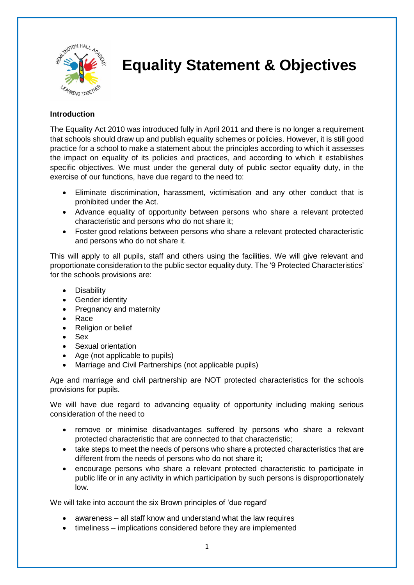

# **Equality Statement & Objectives**

# **Introduction**

The Equality Act 2010 was introduced fully in April 2011 and there is no longer a requirement that schools should draw up and publish equality schemes or policies. However, it is still good practice for a school to make a statement about the principles according to which it assesses the impact on equality of its policies and practices, and according to which it establishes specific objectives. We must under the general duty of public sector equality duty, in the exercise of our functions, have due regard to the need to:

- Eliminate discrimination, harassment, victimisation and any other conduct that is prohibited under the Act.
- Advance equality of opportunity between persons who share a relevant protected characteristic and persons who do not share it;
- Foster good relations between persons who share a relevant protected characteristic and persons who do not share it.

This will apply to all pupils, staff and others using the facilities. We will give relevant and proportionate consideration to the public sector equality duty. The '9 Protected Characteristics' for the schools provisions are:

- Disability
- Gender identity
- Pregnancy and maternity
- Race
- Religion or belief
- Sex
- Sexual orientation
- Age (not applicable to pupils)
- Marriage and Civil Partnerships (not applicable pupils)

Age and marriage and civil partnership are NOT protected characteristics for the schools provisions for pupils.

We will have due regard to advancing equality of opportunity including making serious consideration of the need to

- remove or minimise disadvantages suffered by persons who share a relevant protected characteristic that are connected to that characteristic;
- take steps to meet the needs of persons who share a protected characteristics that are different from the needs of persons who do not share it;
- encourage persons who share a relevant protected characteristic to participate in public life or in any activity in which participation by such persons is disproportionately low.

We will take into account the six Brown principles of 'due regard'

- awareness all staff know and understand what the law requires
- timeliness implications considered before they are implemented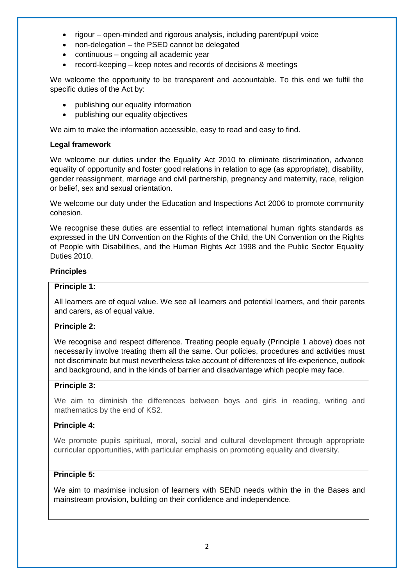- rigour open-minded and rigorous analysis, including parent/pupil voice
- non-delegation the PSED cannot be delegated
- continuous ongoing all academic year
- record-keeping keep notes and records of decisions & meetings

We welcome the opportunity to be transparent and accountable. To this end we fulfil the specific duties of the Act by:

- publishing our equality information
- publishing our equality objectives

We aim to make the information accessible, easy to read and easy to find.

#### **Legal framework**

We welcome our duties under the Equality Act 2010 to eliminate discrimination, advance equality of opportunity and foster good relations in relation to age (as appropriate), disability, gender reassignment, marriage and civil partnership, pregnancy and maternity, race, religion or belief, sex and sexual orientation.

We welcome our duty under the Education and Inspections Act 2006 to promote community cohesion.

We recognise these duties are essential to reflect international human rights standards as expressed in the UN Convention on the Rights of the Child, the UN Convention on the Rights of People with Disabilities, and the Human Rights Act 1998 and the Public Sector Equality Duties 2010.

# **Principles**

# **Principle 1:**

All learners are of equal value. We see all learners and potential learners, and their parents and carers, as of equal value.

# **Principle 2:**

We recognise and respect difference. Treating people equally (Principle 1 above) does not necessarily involve treating them all the same. Our policies, procedures and activities must not discriminate but must nevertheless take account of differences of life-experience, outlook and background, and in the kinds of barrier and disadvantage which people may face.

# **Principle 3:**

We aim to diminish the differences between boys and girls in reading, writing and mathematics by the end of KS2.

# **Principle 4:**

We promote pupils spiritual, moral, social and cultural development through appropriate curricular opportunities, with particular emphasis on promoting equality and diversity.

#### **Principle 5:**

We aim to maximise inclusion of learners with SEND needs within the in the Bases and mainstream provision, building on their confidence and independence.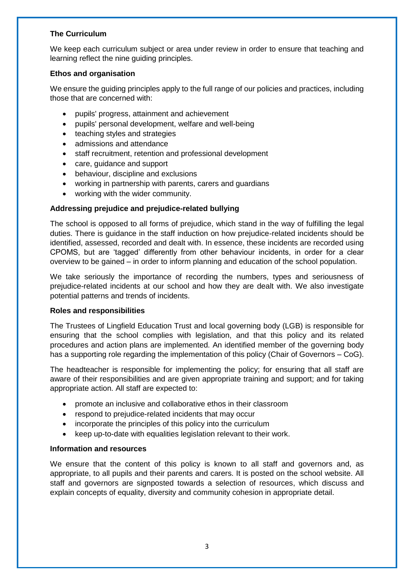# **The Curriculum**

We keep each curriculum subject or area under review in order to ensure that teaching and learning reflect the nine guiding principles.

# **Ethos and organisation**

We ensure the quiding principles apply to the full range of our policies and practices, including those that are concerned with:

- pupils' progress, attainment and achievement
- pupils' personal development, welfare and well-being
- teaching styles and strategies
- admissions and attendance
- staff recruitment, retention and professional development
- care, guidance and support
- behaviour, discipline and exclusions
- working in partnership with parents, carers and guardians
- working with the wider community.

# **Addressing prejudice and prejudice-related bullying**

The school is opposed to all forms of prejudice, which stand in the way of fulfilling the legal duties. There is guidance in the staff induction on how prejudice-related incidents should be identified, assessed, recorded and dealt with. In essence, these incidents are recorded using CPOMS, but are 'tagged' differently from other behaviour incidents, in order for a clear overview to be gained – in order to inform planning and education of the school population.

We take seriously the importance of recording the numbers, types and seriousness of prejudice-related incidents at our school and how they are dealt with. We also investigate potential patterns and trends of incidents.

# **Roles and responsibilities**

The Trustees of Lingfield Education Trust and local governing body (LGB) is responsible for ensuring that the school complies with legislation, and that this policy and its related procedures and action plans are implemented. An identified member of the governing body has a supporting role regarding the implementation of this policy (Chair of Governors – CoG).

The headteacher is responsible for implementing the policy; for ensuring that all staff are aware of their responsibilities and are given appropriate training and support; and for taking appropriate action. All staff are expected to:

- promote an inclusive and collaborative ethos in their classroom
- respond to prejudice-related incidents that may occur
- incorporate the principles of this policy into the curriculum
- keep up-to-date with equalities legislation relevant to their work.

# **Information and resources**

We ensure that the content of this policy is known to all staff and governors and, as appropriate, to all pupils and their parents and carers. It is posted on the school website. All staff and governors are signposted towards a selection of resources, which discuss and explain concepts of equality, diversity and community cohesion in appropriate detail.